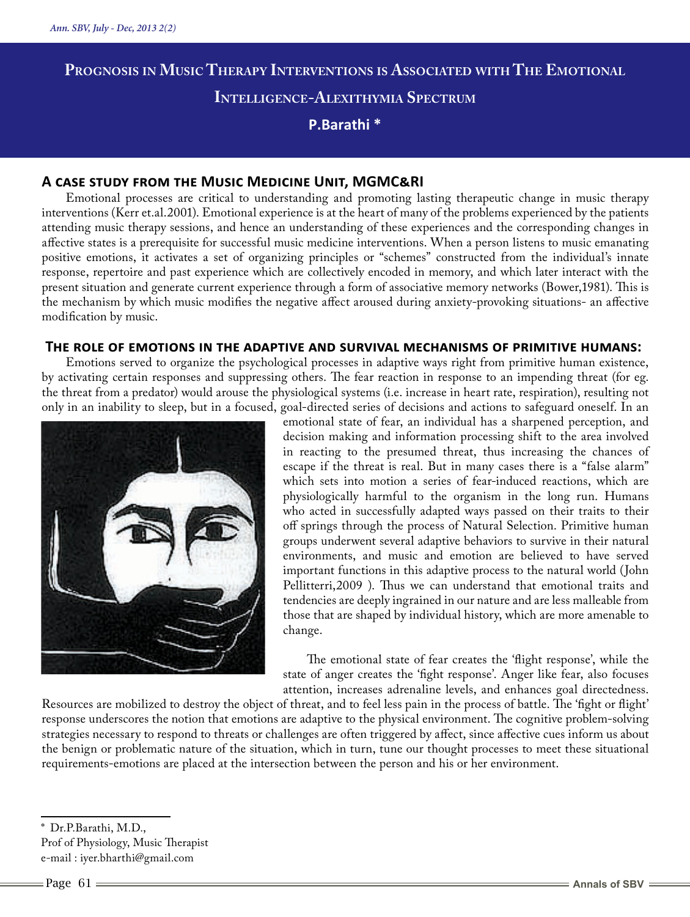# **Prognosis in Music Therapy Interventions is Associated with The Emotional Intelligence-Alexithymia Spectrum P.Barathi \***

## **A case study from the Music Medicine Unit, MGMC&RI**

Emotional processes are critical to understanding and promoting lasting therapeutic change in music therapy interventions (Kerr et.al.2001). Emotional experience is at the heart of many of the problems experienced by the patients attending music therapy sessions, and hence an understanding of these experiences and the corresponding changes in affective states is a prerequisite for successful music medicine interventions. When a person listens to music emanating positive emotions, it activates a set of organizing principles or "schemes" constructed from the individual's innate response, repertoire and past experience which are collectively encoded in memory, and which later interact with the present situation and generate current experience through a form of associative memory networks (Bower,1981). This is the mechanism by which music modifies the negative affect aroused during anxiety-provoking situations- an affective modification by music.

#### **The role of emotions in the adaptive and survival mechanisms of primitive humans:**

Emotions served to organize the psychological processes in adaptive ways right from primitive human existence, by activating certain responses and suppressing others. The fear reaction in response to an impending threat (for eg. the threat from a predator) would arouse the physiological systems (i.e. increase in heart rate, respiration), resulting not only in an inability to sleep, but in a focused, goal-directed series of decisions and actions to safeguard oneself. In an



emotional state of fear, an individual has a sharpened perception, and decision making and information processing shift to the area involved in reacting to the presumed threat, thus increasing the chances of escape if the threat is real. But in many cases there is a "false alarm" which sets into motion a series of fear-induced reactions, which are physiologically harmful to the organism in the long run. Humans who acted in successfully adapted ways passed on their traits to their off springs through the process of Natural Selection. Primitive human groups underwent several adaptive behaviors to survive in their natural environments, and music and emotion are believed to have served important functions in this adaptive process to the natural world (John Pellitterri,2009 ). Thus we can understand that emotional traits and tendencies are deeply ingrained in our nature and are less malleable from those that are shaped by individual history, which are more amenable to change.

The emotional state of fear creates the 'flight response', while the state of anger creates the 'fight response'. Anger like fear, also focuses attention, increases adrenaline levels, and enhances goal directedness.

Resources are mobilized to destroy the object of threat, and to feel less pain in the process of battle. The 'fight or flight' response underscores the notion that emotions are adaptive to the physical environment. The cognitive problem-solving strategies necessary to respond to threats or challenges are often triggered by affect, since affective cues inform us about the benign or problematic nature of the situation, which in turn, tune our thought processes to meet these situational requirements-emotions are placed at the intersection between the person and his or her environment.

Dr.P.Barathi, M.D.,

Prof of Physiology, Music Therapist e-mail : iyer.bharthi@gmail.com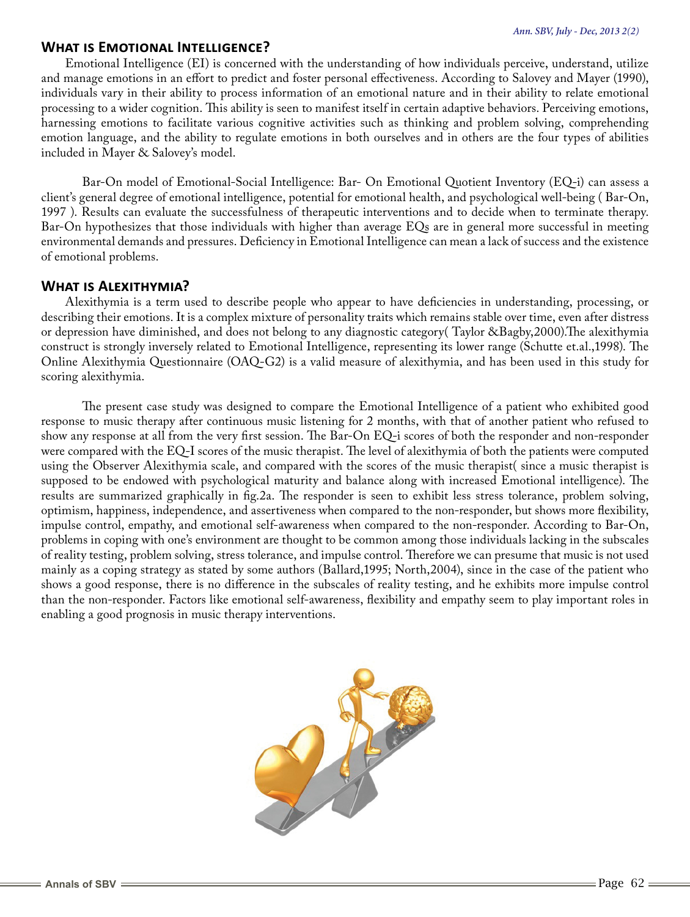#### **What is Emotional Intelligence?**

Emotional Intelligence (EI) is concerned with the understanding of how individuals perceive, understand, utilize and manage emotions in an effort to predict and foster personal effectiveness. According to Salovey and Mayer (1990), individuals vary in their ability to process information of an emotional nature and in their ability to relate emotional processing to a wider cognition. This ability is seen to manifest itself in certain adaptive behaviors. Perceiving emotions, harnessing emotions to facilitate various cognitive activities such as thinking and problem solving, comprehending emotion language, and the ability to regulate emotions in both ourselves and in others are the four types of abilities included in Mayer & Salovey's model.

Bar-On model of Emotional-Social Intelligence: Bar- On Emotional Quotient Inventory (EQ-i) can assess a client's general degree of emotional intelligence, potential for emotional health, and psychological well-being ( Bar-On, 1997 ). Results can evaluate the successfulness of therapeutic interventions and to decide when to terminate therapy. Bar-On hypothesizes that those individuals with higher than average EQs are in general more successful in meeting environmental demands and pressures. Deficiency in Emotional Intelligence can mean a lack of success and the existence of emotional problems.

### **What is Alexithymia?**

Alexithymia is a term used to describe people who appear to have deficiencies in understanding, processing, or describing their emotions. It is a complex mixture of personality traits which remains stable over time, even after distress or depression have diminished, and does not belong to any diagnostic category( Taylor &Bagby,2000).The alexithymia construct is strongly inversely related to Emotional Intelligence, representing its lower range (Schutte et.al.,1998). The Online Alexithymia Questionnaire (OAQ-G2) is a valid measure of alexithymia, and has been used in this study for scoring alexithymia.

The present case study was designed to compare the Emotional Intelligence of a patient who exhibited good response to music therapy after continuous music listening for 2 months, with that of another patient who refused to show any response at all from the very first session. The Bar-On EQ-i scores of both the responder and non-responder were compared with the EQ-I scores of the music therapist. The level of alexithymia of both the patients were computed using the Observer Alexithymia scale, and compared with the scores of the music therapist( since a music therapist is supposed to be endowed with psychological maturity and balance along with increased Emotional intelligence). The results are summarized graphically in fig.2a. The responder is seen to exhibit less stress tolerance, problem solving, optimism, happiness, independence, and assertiveness when compared to the non-responder, but shows more flexibility, impulse control, empathy, and emotional self-awareness when compared to the non-responder. According to Bar-On, problems in coping with one's environment are thought to be common among those individuals lacking in the subscales of reality testing, problem solving, stress tolerance, and impulse control. Therefore we can presume that music is not used mainly as a coping strategy as stated by some authors (Ballard,1995; North,2004), since in the case of the patient who shows a good response, there is no difference in the subscales of reality testing, and he exhibits more impulse control than the non-responder. Factors like emotional self-awareness, flexibility and empathy seem to play important roles in enabling a good prognosis in music therapy interventions.

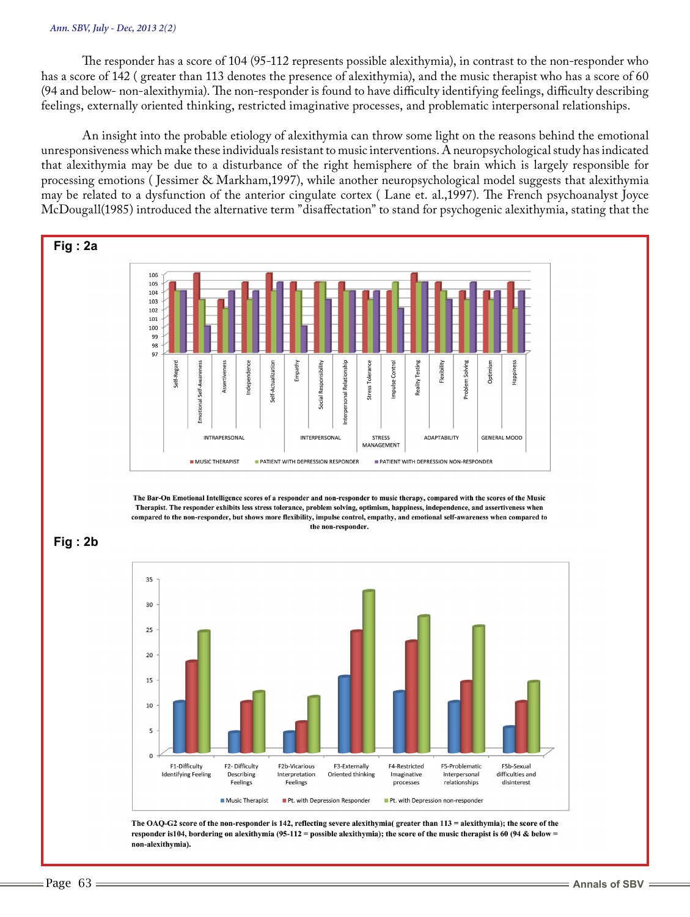#### *Ann. SBV, July - Dec, 2013 2(2)*

The responder has a score of 104 (95-112 represents possible alexithymia), in contrast to the non-responder who has a score of 142 ( greater than 113 denotes the presence of alexithymia), and the music therapist who has a score of 60 (94 and below- non-alexithymia). The non-responder is found to have difficulty identifying feelings, difficulty describing feelings, externally oriented thinking, restricted imaginative processes, and problematic interpersonal relationships.

An insight into the probable etiology of alexithymia can throw some light on the reasons behind the emotional unresponsiveness which make these individuals resistant to music interventions. A neuropsychological study has indicated that alexithymia may be due to a disturbance of the right hemisphere of the brain which is largely responsible for processing emotions ( Jessimer & Markham,1997), while another neuropsychological model suggests that alexithymia may be related to a dysfunction of the anterior cingulate cortex ( Lane et. al.,1997). The French psychoanalyst Joyce McDougall(1985) introduced the alternative term "disaffectation" to stand for psychogenic alexithymia, stating that the



The Bar-On Emotional Intelligence scores of a responder and non-responder to music therapy, compared with the scores of the Music Therapist. The responder exhibits less stress tolerance, problem solving, optimism, happiness, independence, and assertiveness when compared to the non-responder, but shows more flexibility, impulse control, empathy, and emotional self-awareness when compared to the non-responder.





The OAQ-G2 score of the non-responder is 142, reflecting severe alexithymia( greater than 113 = alexithymia); the score of the responder is 104, bordering on alexithymia (95-112 = possible alexithymia); the score of the music therapist is 60 (94 & below = non-alexithymia).